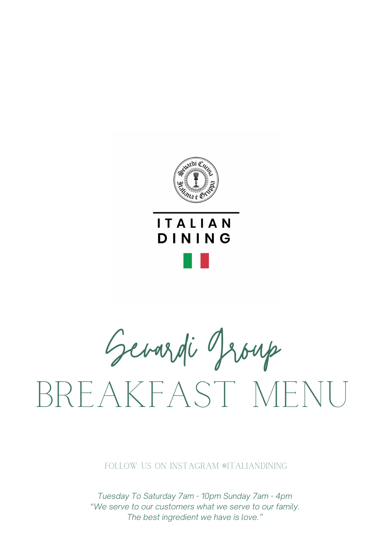

## **ITALIAN** DINING

Sevardi Group BREAKFAST MEN

Follow us on Instagram @italiandining

*Tuesday To Saturday 7am - 10pm Sunday 7am - 4pm "We serve to our customers what we serve to our family. The best ingredient we have is love."*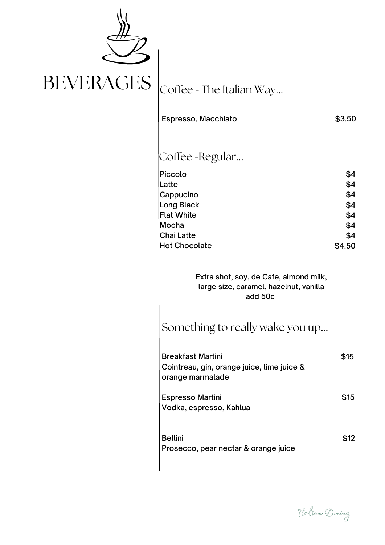

| Espresso, Macchiato                                                                                                    | \$3.50                                                  |
|------------------------------------------------------------------------------------------------------------------------|---------------------------------------------------------|
| Coffee -Regular                                                                                                        |                                                         |
| Piccolo<br>Latte<br>Cappucino<br>Long Black<br><b>Flat White</b><br>Mocha<br><b>Chai Latte</b><br><b>Hot Chocolate</b> | \$4<br>\$4<br>\$4<br>\$4<br>\$4<br>\$4<br>\$4<br>\$4.50 |
| Extra shot, soy, de Cafe, almond milk,<br>large size, caramel, hazelnut, vanilla<br>add 50c                            |                                                         |
| Something to really wake you up                                                                                        |                                                         |
| <b>Breakfast Martini</b><br>Cointreau, gin, orange juice, lime juice &<br>orange marmalade                             | \$15                                                    |
| <b>Espresso Martini</b><br>Vodka, espresso, Kahlua                                                                     | \$15                                                    |
| <b>Bellini</b><br>Prosecco, pear nectar & orange juice                                                                 | \$12                                                    |